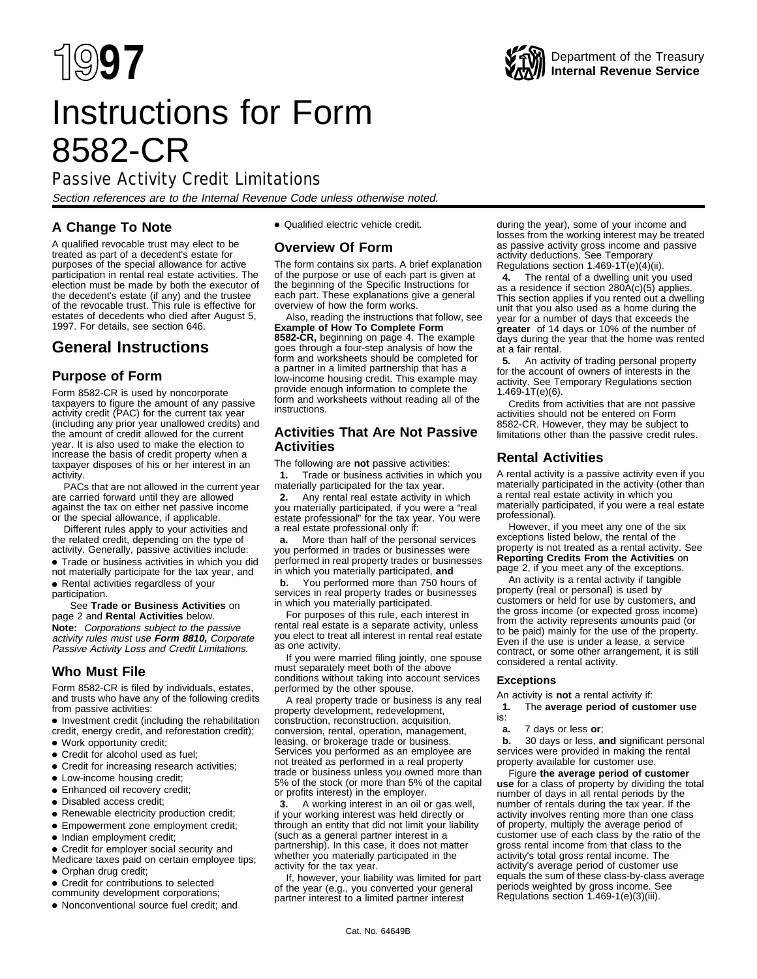# Instructions for Form 8582-CR

## Passive Activity Credit Limitations

Section references are to the Internal Revenue Code unless otherwise noted.

## **A Change To Note**

• Qualified electric vehicle credit.

## **Overview Of Form**

The form contains six parts. A brief explanation of the purpose or use of each part is given at the beginning of the Specific Instructions for each part. These explanations give a general overview of how the form works.

Also, reading the instructions that follow, see **Example of How To Complete Form 8582-CR,** beginning on page 4. The example goes through a four-step analysis of how the form and worksheets should be completed for a partner in a limited partnership that has a low-income housing credit. This example may provide enough information to complete the form and worksheets without reading all of the instructions.

## **Activities That Are Not Passive Activities**

The following are **not** passive activities:

 **1.** Trade or business activities in which you materially participated for the tax year.

 $\ddot{y}$ 2. Any rental real estate activity in which you materially participated, if you were a "real estate professional" for the tax year. You were a real estate professional only if:

 $\ddot{v}$ **a.** More than half of the personal services you performed in trades or businesses were performed in real property trades or businesses in which you materially participated, **and**

 $\ddot{v}$ **b.** You performed more than 750 hours of services in real property trades or businesses in which you materially participated.

For purposes of this rule, each interest in rental real estate is a separate activity, unless you elect to treat all interest in rental real estate as one activity.

If you were married filing jointly, one spouse must separately meet both of the above conditions without taking into account services performed by the other spouse.

A real property trade or business is any real property development, redevelopment, construction, reconstruction, acquisition, conversion, rental, operation, management, leasing, or brokerage trade or business. Services you performed as an employee are not treated as performed in a real property trade or business unless you owned more than 5% of the stock (or more than 5% of the capital or profits interest) in the employer.

 **3.** A working interest in an oil or gas well, if your working interest was held directly or through an entity that did not limit your liability (such as a general partner interest in a partnership). In this case, it does not matter whether you materially participated in the activity for the tax year.

If, however, your liability was limited for part of the year (e.g., you converted your general partner interest to a limited partner interest

during the year), some of your income and losses from the working interest may be treated as passive activity gross income and passive activity deductions. See Temporary Regulations section  $1.469 - 1T(e)(4)(ii)$ .

 $\ddot{y}$ 4. The rental of a dwelling unit you used as a residence if section 280A(c)(5) applies. This section applies if you rented out a dwelling unit that you also used as a home during the year for a number of days that exceeds the **greater** of 14 days or 10% of the number of days during the year that the home was rented at a fair rental.

 **5.** An activity of trading personal property for the account of owners of interests in the activity. See Temporary Regulations section  $1.469 - 1T(e)(6)$ .

Credits from activities that are not passive activities should not be entered on Form 8582-CR. However, they may be subject to limitations other than the passive credit rules.

## **Rental Activities**

A rental activity is a passive activity even if you materially participated in the activity (other than a rental real estate activity in which you materially participated, if you were a real estate professional).

However, if you meet any one of the six exceptions listed below, the rental of the property is not treated as a rental activity. See **Reporting Credits From the Activities** on page 2, if you meet any of the exceptions.

An activity is a rental activity if tangible property (real or personal) is used by customers or held for use by customers, and the gross income (or expected gross income) from the activity represents amounts paid (or to be paid) mainly for the use of the property. Even if the use is under a lease, a service contract, or some other arrangement, it is still considered a rental activity.

#### **Exceptions**

An activity is **not** a rental activity if:

 **1.** The **average period of customer use** is:

**ya.** 7 days or less or;

 $\ddot{y}$ **b.** 30 days or less, and significant personal services were provided in making the rental property available for customer use.

Figure **the average period of customer use** for a class of property by dividing the total number of days in all rental periods by the number of rentals during the tax year. If the activity involves renting more than one class of property, multiply the average period of customer use of each class by the ratio of the gross rental income from that class to the activity's total gross rental income. The activity's average period of customer use equals the sum of these class-by-class average periods weighted by gross income. See Regulations section 1.469-1(e)(3)(iii).

## 1997. For details, see section 646. **General Instructions**

A qualified revocable trust may elect to be treated as part of a decedent's estate for purposes of the special allowance for active participation in rental real estate activities. The election must be made by both the executor of the decedent's estate (if any) and the trustee of the revocable trust. This rule is effective for estates of decedents who died after August 5,

## **Purpose of Form**

Form 8582-CR is used by noncorporate taxpayers to figure the amount of any passive activity credit (PAC) for the current tax year (including any prior year unallowed credits) and the amount of credit allowed for the current year. It is also used to make the election to increase the basis of credit property when a taxpayer disposes of his or her interest in an activity.

PACs that are not allowed in the current year are carried forward until they are allowed against the tax on either net passive income or the special allowance, if applicable.

Different rules apply to your activities and the related credit, depending on the type of activity. Generally, passive activities include:

• Trade or business activities in which you did not materially participate for the tax year, and

• Rental activities regardless of your participation.

#### See **Trade or Business Activities** on page 2 and **Rental Activities** below.

**Note:** Corporations subject to the passive activity rules must use **Form 8810,** Corporate Passive Activity Loss and Credit Limitations.

## **Who Must File**

Form 8582-CR is filed by individuals, estates, and trusts who have any of the following credits from passive activities:

• Investment credit (including the rehabilitation credit, energy credit, and reforestation credit);

- Work opportunity credit;
- Credit for alcohol used as fuel;
- Credit for increasing research activities;
- Low-income housing credit;
- Enhanced oil recovery credit;
- Disabled access credit;
- Renewable electricity production credit;
- Empowerment zone employment credit;
- Indian employment credit;
- Credit for employer social security and
- Medicare taxes paid on certain employee tips; • Orphan drug credit;
- Credit for contributions to selected
- community development corporations;
- Nonconventional source fuel credit; and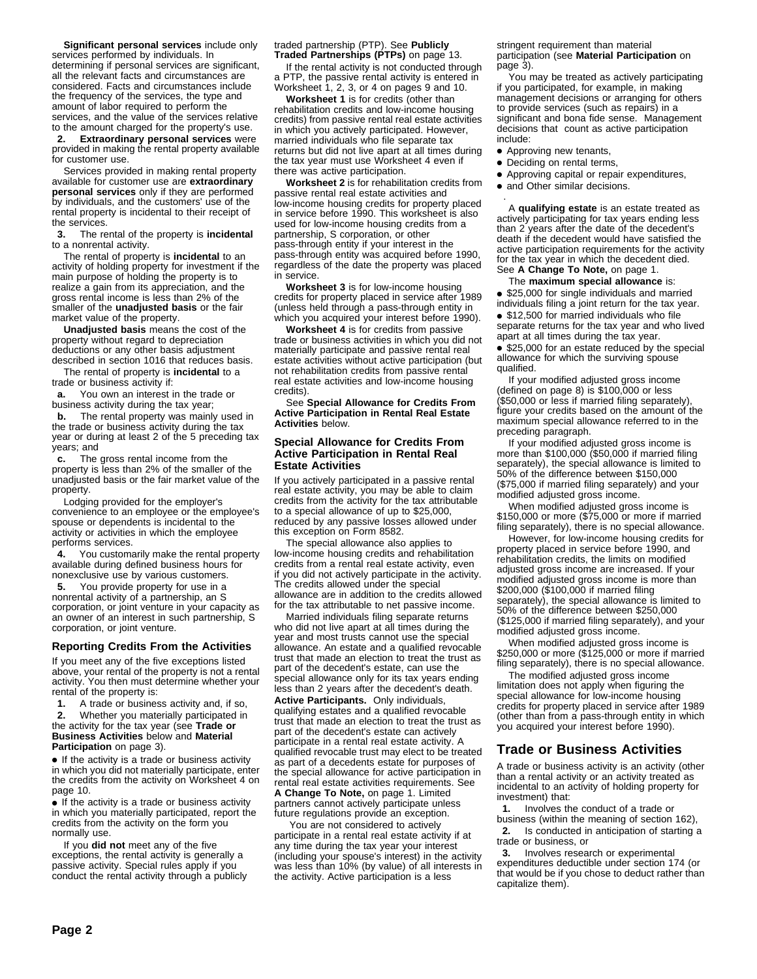**Significant personal services** include only services performed by individuals. In determining if personal services are significant, all the relevant facts and circumstances are considered. Facts and circumstances include the frequency of the services, the type and amount of labor required to perform the services, and the value of the services relative to the amount charged for the property's use.  **2. Extraordinary personal services** were provided in making the rental property available

for customer use. Services provided in making rental property available for customer use are **extraordinary personal services** only if they are performed

by individuals, and the customers' use of the rental property is incidental to their receipt of the services.

 **3.** The rental of the property is **incidental** to a nonrental activity.

The rental of property is **incidental** to an activity of holding property for investment if the main purpose of holding the property is to realize a gain from its appreciation, and the gross rental income is less than 2% of the smaller of the **unadjusted basis** or the fair market value of the property.

**Unadjusted basis** means the cost of the property without regard to depreciation deductions or any other basis adjustment described in section 1016 that reduces basis.

The rental of property is **incidental** to a trade or business activity if:

**ya.** You own an interest in the trade or business activity during the tax year;

 $\ddot{\mathbf{v}}$ **b.** The rental property was mainly used in the trade or business activity during the tax year or during at least 2 of the 5 preceding tax years; and

**yc.** The gross rental income from the property is less than 2% of the smaller of the unadjusted basis or the fair market value of the property.

Lodging provided for the employer's convenience to an employee or the employee's spouse or dependents is incidental to the activity or activities in which the employee performs services.

 $\ddot{y}$ **4.** You customarily make the rental property available during defined business hours for nonexclusive use by various customers.

 $\ddot{y}$ **5.** You provide property for use in a nonrental activity of a partnership, an S corporation, or joint venture in your capacity as an owner of an interest in such partnership, S corporation, or joint venture.

#### **Reporting Credits From the Activities**

If you meet any of the five exceptions listed above, your rental of the property is not a rental activity. You then must determine whether your rental of the property is:

 $\ddot{y}$ **1.** A trade or business activity and, if so,  **2.** Whether you materially participated in the activity for the tax year (see **Trade or Business Activities** below and **Material Participation** on page 3).

• If the activity is a trade or business activity in which you did not materially participate, enter the credits from the activity on Worksheet 4 on page 10.

• If the activity is a trade or business activity in which you materially participated, report the credits from the activity on the form you normally use.

If you **did not** meet any of the five exceptions, the rental activity is generally a passive activity. Special rules apply if you conduct the rental activity through a publicly

#### traded partnership (PTP). See **Publicly Traded Partnerships (PTPs)** on page 13.

If the rental activity is not conducted through a PTP, the passive rental activity is entered in Worksheet 1, 2, 3, or 4 on pages 9 and 10.

**Worksheet 1** is for credits (other than rehabilitation credits and low-income housing credits) from passive rental real estate activities in which you actively participated. However, married individuals who file separate tax returns but did not live apart at all times during the tax year must use Worksheet 4 even if there was active participation.

**Worksheet 2** is for rehabilitation credits from passive rental real estate activities and low-income housing credits for property placed in service before 1990. This worksheet is also used for low-income housing credits from a partnership, S corporation, or other pass-through entity if your interest in the pass-through entity was acquired before 1990, regardless of the date the property was placed in service.

**Worksheet 3** is for low-income housing credits for property placed in service after 1989 (unless held through a pass-through entity in which you acquired your interest before 1990).

**Worksheet 4** is for credits from passive trade or business activities in which you did not materially participate and passive rental real estate activities without active participation (but not rehabilitation credits from passive rental real estate activities and low-income housing credits).

See **Special Allowance for Credits From Active Participation in Rental Real Estate Activities** below.

#### **Special Allowance for Credits From Active Participation in Rental Real Estate Activities**

If you actively participated in a passive rental real estate activity, you may be able to claim credits from the activity for the tax attributable to a special allowance of up to \$25,000, reduced by any passive losses allowed under this exception on Form 8582.

The special allowance also applies to low-income housing credits and rehabilitation credits from a rental real estate activity, even if you did not actively participate in the activity. The credits allowed under the special allowance are in addition to the credits allowed for the tax attributable to net passive income.

Married individuals filing separate returns who did not live apart at all times during the year and most trusts cannot use the special allowance. An estate and a qualified revocable trust that made an election to treat the trust as part of the decedent's estate, can use the special allowance only for its tax years ending less than 2 years after the decedent's death.

**Active Participants.** Only individuals, qualifying estates and a qualified revocable trust that made an election to treat the trust as part of the decedent's estate can actively participate in a rental real estate activity. A qualified revocable trust may elect to be treated as part of a decedents estate for purposes of the special allowance for active participation in rental real estate activities requirements. See **A Change To Note,** on page 1. Limited partners cannot actively participate unless future regulations provide an exception.

 You are not considered to actively participate in a rental real estate activity if at any time during the tax year your interest (including your spouse's interest) in the activity was less than 10% (by value) of all interests in the activity. Active participation is a less

stringent requirement than material participation (see **Material Participation** on page 3).

You may be treated as actively participating if you participated, for example, in making management decisions or arranging for others to provide services (such as repairs) in a significant and bona fide sense. Management decisions that count as active participation include:

- Approving new tenants,
- Deciding on rental terms,
- ●A Approving capital or repair expenditures,
- and Other similar decisions.

 . A **qualifying estate** is an estate treated as actively participating for tax years ending less than 2 years after the date of the decedent's death if the decedent would have satisfied the active participation requirements for the activity for the tax year in which the decedent died. See **A Change To Note,** on page 1.

The **maximum special allowance** is:

• \$25,000 for single individuals and married individuals filing a joint return for the tax year.

• \$12,500 for married individuals who file separate returns for the tax year and who lived apart at all times during the tax year.

• \$25,000 for an estate reduced by the special allowance for which the surviving spouse qualified.

If your modified adjusted gross income (defined on page 8) is \$100,000 or less (\$50,000 or less if married filing separately), figure your credits based on the amount of the maximum special allowance referred to in the preceding paragraph.

If your modified adjusted gross income is more than \$100,000 (\$50,000 if married filing separately), the special allowance is limited to 50% of the difference between \$150,000 (\$75,000 if married filing separately) and your modified adjusted gross income.

When modified adjusted gross income is \$150,000 or more (\$75,000 or more if married filing separately), there is no special allowance.

However, for low-income housing credits for property placed in service before 1990, and rehabilitation credits, the limits on modified adjusted gross income are increased. If your modified adjusted gross income is more than \$200,000 (\$100,000 if married filing separately), the special allowance is limited to 50% of the difference between \$250,000 (\$125,000 if married filing separately), and your modified adjusted gross income.

When modified adjusted gross income is \$250,000 or more (\$125,000 or more if married filing separately), there is no special allowance.

The modified adjusted gross income limitation does not apply when figuring the special allowance for low-income housing credits for property placed in service after 1989 (other than from a pass-through entity in which you acquired your interest before 1990).

## **Trade or Business Activities**

A trade or business activity is an activity (other than a rental activity or an activity treated as incidental to an activity of holding property for investment) that:

 **1.** Involves the conduct of a trade or business (within the meaning of section 162),  **2.** Is conducted in anticipation of starting a trade or business, or

 $\ddot{y}$ 3. Involves research or experimental expenditures deductible under section 174 (or that would be if you chose to deduct rather than capitalize them).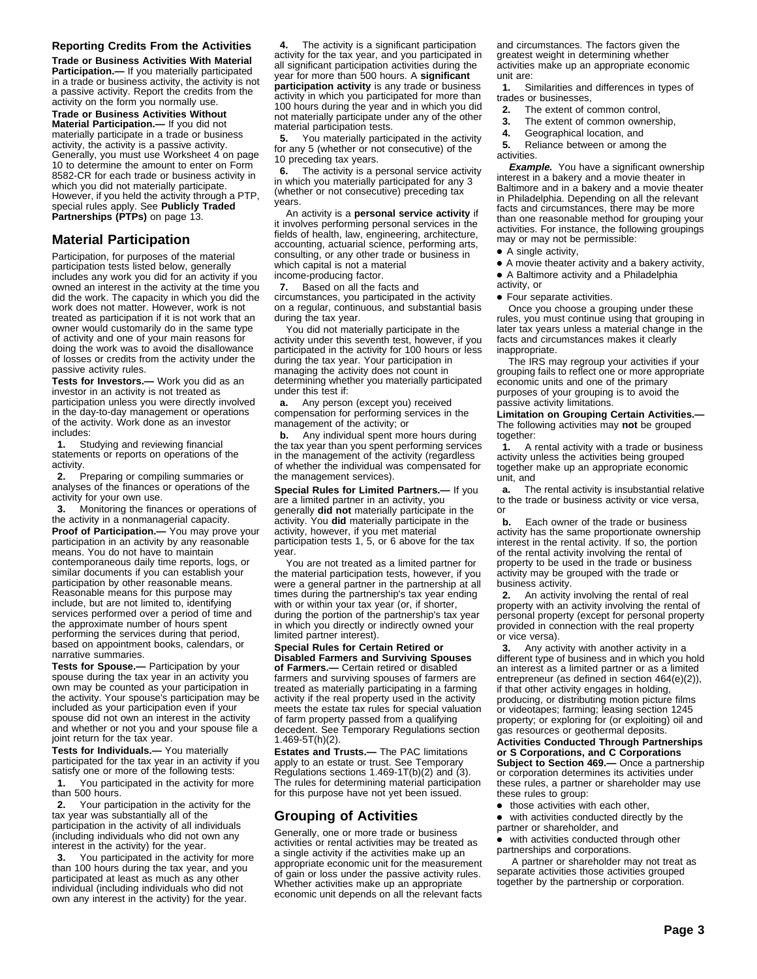#### **Reporting Credits From the Activities**

**Trade or Business Activities With Material Participation.—** If you materially participated in a trade or business activity, the activity is not a passive activity. Report the credits from the activity on the form you normally use.

**Trade or Business Activities Without Material Participation.—** If you did not materially participate in a trade or business activity, the activity is a passive activity. Generally, you must use Worksheet 4 on page 10 to determine the amount to enter on Form 8582-CR for each trade or business activity in which you did not materially participate. However, if you held the activity through a PTP, special rules apply. See **Publicly Traded Partnerships (PTPs)** on page 13.

### **Material Participation**

Participation, for purposes of the material participation tests listed below, generally includes any work you did for an activity if you owned an interest in the activity at the time you did the work. The capacity in which you did the work does not matter. However, work is not treated as participation if it is not work that an owner would customarily do in the same type of activity and one of your main reasons for doing the work was to avoid the disallowance of losses or credits from the activity under the passive activity rules.

**Tests for Investors.—** Work you did as an investor in an activity is not treated as participation unless you were directly involved in the day-to-day management or operations of the activity. Work done as an investor includes:

 $\ddot{y}$ **1.** Studying and reviewing financial statements or reports on operations of the activity

 **2.** Preparing or compiling summaries or analyses of the finances or operations of the activity for your own use.

 $\ddot{y}$ 3. Monitoring the finances or operations of the activity in a nonmanagerial capacity. **Proof of Participation.—** You may prove your participation in an activity by any reasonable means. You do not have to maintain contemporaneous daily time reports, logs, or similar documents if you can establish your participation by other reasonable means. Reasonable means for this purpose may include, but are not limited to, identifying services performed over a period of time and the approximate number of hours spent performing the services during that period, based on appointment books, calendars, or narrative summaries.

**Tests for Spouse.—** Participation by your spouse during the tax year in an activity you own may be counted as your participation in the activity. Your spouse's participation may be included as your participation even if your spouse did not own an interest in the activity and whether or not you and your spouse file a joint return for the tax year.

**Tests for Individuals.—** You materially participated for the tax year in an activity if you satisfy one or more of the following tests:  $\ddot{y}$ **1.** You participated in the activity for more than 500 hours.

 $\ddot{v}$ **2.** Your participation in the activity for the tax year was substantially all of the participation in the activity of all individuals (including individuals who did not own any interest in the activity) for the year.

 $\ddot{y}$ 3. You participated in the activity for more than 100 hours during the tax year, and you participated at least as much as any other individual (including individuals who did not own any interest in the activity) for the year.

 **4.** The activity is a significant participation activity for the tax year, and you participated in all significant participation activities during the year for more than 500 hours. A **significant participation activity** is any trade or business activity in which you participated for more than 100 hours during the year and in which you did not materially participate under any of the other material participation tests.

 **5.** You materially participated in the activity for any 5 (whether or not consecutive) of the 10 preceding tax years.

 **6.** The activity is a personal service activity in which you materially participated for any 3 (whether or not consecutive) preceding tax years.

An activity is a **personal service activity** if it involves performing personal services in the fields of health, law, engineering, architecture, accounting, actuarial science, performing arts, consulting, or any other trade or business in which capital is not a material income-producing factor.

 **7.** Based on all the facts and

circumstances, you participated in the activity on a regular, continuous, and substantial basis during the tax year.

You did not materially participate in the activity under this seventh test, however, if you participated in the activity for 100 hours or less during the tax year. Your participation in managing the activity does not count in determining whether you materially participated under this test if:

**ya.** Any person (except you) received compensation for performing services in the management of the activity; or

 $\ddot{\mathbf{v}}$ **b.** Any individual spent more hours during the tax year than you spent performing services in the management of the activity (regardless of whether the individual was compensated for the management services).

**Special Rules for Limited Partners.—** If you are a limited partner in an activity, you generally **did not** materially participate in the activity. You **did** materially participate in the activity, however, if you met material participation tests 1, 5, or 6 above for the tax year.

You are not treated as a limited partner for the material participation tests, however, if you were a general partner in the partnership at all times during the partnership's tax year ending with or within your tax year (or, if shorter, during the portion of the partnership's tax year in which you directly or indirectly owned your limited partner interest).

#### **Special Rules for Certain Retired or Disabled Farmers and Surviving Spouses**

**of Farmers.—** Certain retired or disabled farmers and surviving spouses of farmers are treated as materially participating in a farming activity if the real property used in the activity meets the estate tax rules for special valuation of farm property passed from a qualifying decedent. See Temporary Regulations section 1.469-5T(h)(2).

**Estates and Trusts.—** The PAC limitations apply to an estate or trust. See Temporary Regulations sections 1.469-1T(b)(2) and (3). The rules for determining material participation for this purpose have not yet been issued.

#### **Grouping of Activities**

Generally, one or more trade or business activities or rental activities may be treated as a single activity if the activities make up an appropriate economic unit for the measurement<br>of gain or loss under the passive activity rules. gain or loss under the passive activity rules. Whether activities make up an appropriate economic unit depends on all the relevant facts

and circumstances. The factors given the greatest weight in determining whether activities make up an appropriate economic unit are:

 **1.** Similarities and differences in types of trades or businesses,

- **2.** The extent of common control,<br>**73.** The extent of common owners
- The extent of common ownership,

 $\ddot{v}$ **4.** Geographical location, and

 **5.** Reliance between or among the activities.

**Example.** You have a significant ownership interest in a bakery and a movie theater in Baltimore and in a bakery and a movie theater in Philadelphia. Depending on all the relevant facts and circumstances, there may be more than one reasonable method for grouping your activities. For instance, the following groupings may or may not be permissible:

- ●A A single activity,
- ●A A movie theater activity and a bakery activity,
- ●A A Baltimore activity and a Philadelphia
- activity, or

• Four separate activities.

Once you choose a grouping under these rules, you must continue using that grouping in later tax years unless a material change in the facts and circumstances makes it clearly inappropriate.

The IRS may regroup your activities if your grouping fails to reflect one or more appropriate economic units and one of the primary purposes of your grouping is to avoid the passive activity limitations.

**Limitation on Grouping Certain Activities.—** The following activities may **not** be grouped together:

 $\ddot{y}$ **1.** A rental activity with a trade or business activity unless the activities being grouped together make up an appropriate economic unit, and

 $\ddot{y}$ **a.** The rental activity is insubstantial relative to the trade or business activity or vice versa, or

 $\ddot{y}$ **b.** Each owner of the trade or business activity has the same proportionate ownership interest in the rental activity. If so, the portion of the rental activity involving the rental of property to be used in the trade or business activity may be grouped with the trade or business activity.

 $\ddot{y}$ 2. An activity involving the rental of real property with an activity involving the rental of personal property (except for personal property provided in connection with the real property or vice versa).

 **3.** Any activity with another activity in a different type of business and in which you hold an interest as a limited partner or as a limited entrepreneur (as defined in section 464(e)(2)), if that other activity engages in holding, producing, or distributing motion picture films or videotapes; farming; leasing section 1245 property; or exploring for (or exploiting) oil and gas resources or geothermal deposits.

**Activities Conducted Through Partnerships or S Corporations, and C Corporations Subject to Section 469.—** Once a partnership or corporation determines its activities under these rules, a partner or shareholder may use these rules to group:

- those activities with each other,
- with activities conducted directly by the partner or shareholder, and
- with activities conducted through other partnerships and corporations.

 A partner or shareholder may not treat as separate activities those activities grouped together by the partnership or corporation.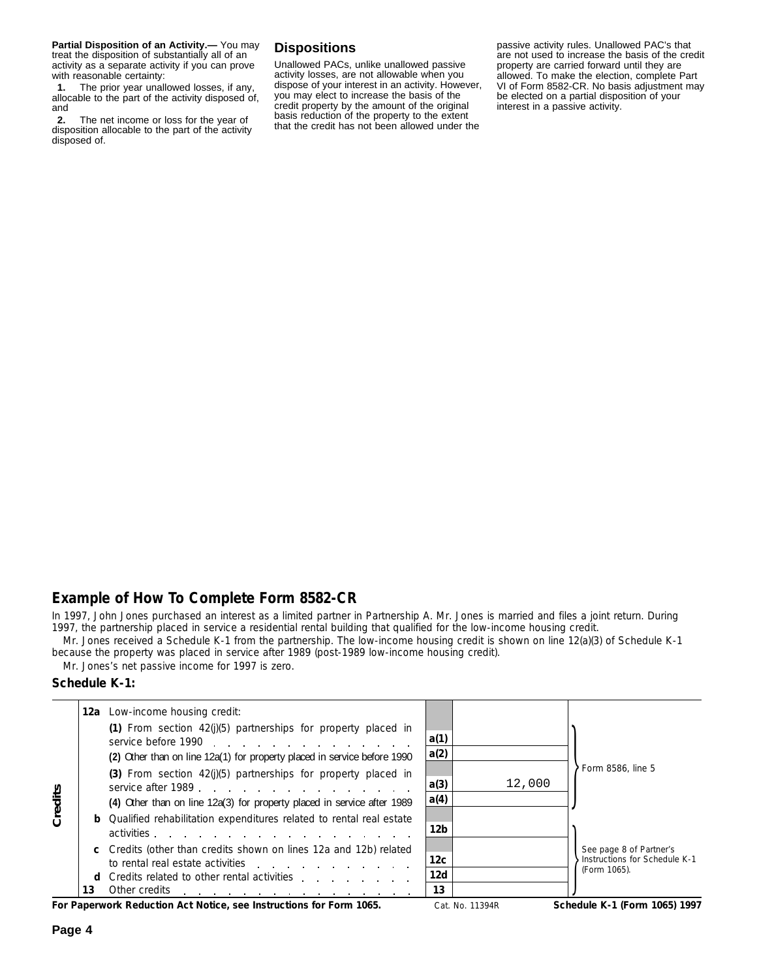**Partial Disposition of an Activity.—** You may treat the disposition of substantially all of an activity as a separate activity if you can prove with reasonable certainty:

 $\ddot{y}$ **1.** The prior year unallowed losses, if any, allocable to the part of the activity disposed of, and

 $\ddot{y}$ **2.** The net income or loss for the year of disposition allocable to the part of the activity disposed of.

## **Dispositions**

Unallowed PACs, unlike unallowed passive activity losses, are not allowable when you dispose of your interest in an activity. However, you may elect to increase the basis of the credit property by the amount of the original basis reduction of the property to the extent that the credit has not been allowed under the

passive activity rules. Unallowed PAC's that are not used to increase the basis of the credit property are carried forward until they are allowed. To make the election, complete Part VI of Form 8582-CR. No basis adjustment may be elected on a partial disposition of your interest in a passive activity.

## **Example of How To Complete Form 8582-CR**

In 1997, John Jones purchased an interest as a limited partner in Partnership A. Mr. Jones is married and files a joint return. During 1997, the partnership placed in service a residential rental building that qualified for the low-income housing credit.

Mr. Jones received a Schedule K-1 from the partnership. The low-income housing credit is shown on line 12(a)(3) of Schedule K-1 because the property was placed in service after 1989 (post-1989 low-income housing credit).

Mr. Jones's net passive income for 1997 is zero.

#### **Schedule K-1:**

|         |    | <b>12a</b> Low-income housing credit:                                                                                                                              |              |        |                                                                          |
|---------|----|--------------------------------------------------------------------------------------------------------------------------------------------------------------------|--------------|--------|--------------------------------------------------------------------------|
| Credits |    | (1) From section $42(j)(5)$ partnerships for property placed in<br>service before 1990<br>(2) Other than on line 12a(1) for property placed in service before 1990 | a(1)<br>a(2) |        |                                                                          |
|         |    | (3) From section $42(j)(5)$ partnerships for property placed in<br>service after 1989.<br>(4) Other than on line 12a(3) for property placed in service after 1989  | a(3)<br>a(4) | 12,000 | Form 8586, line 5                                                        |
|         |    | <b>b</b> Qualified rehabilitation expenditures related to rental real estate<br>activities                                                                         | 12b          |        |                                                                          |
|         |    | c Credits (other than credits shown on lines 12a and 12b) related<br>to rental real estate activities                                                              | 12c<br>12d   |        | See page 8 of Partner's<br>Instructions for Schedule K-1<br>(Form 1065). |
|         | 13 | <b>d</b> Credits related to other rental activities<br>Other credits<br>and a series of the contract of the contract of the contract of                            | 13           |        |                                                                          |

**For Paperwork Reduction Act Notice, see Instructions for Form 1065. Schedule K-1 (Form 1065) 1997 Form 1065) 1997**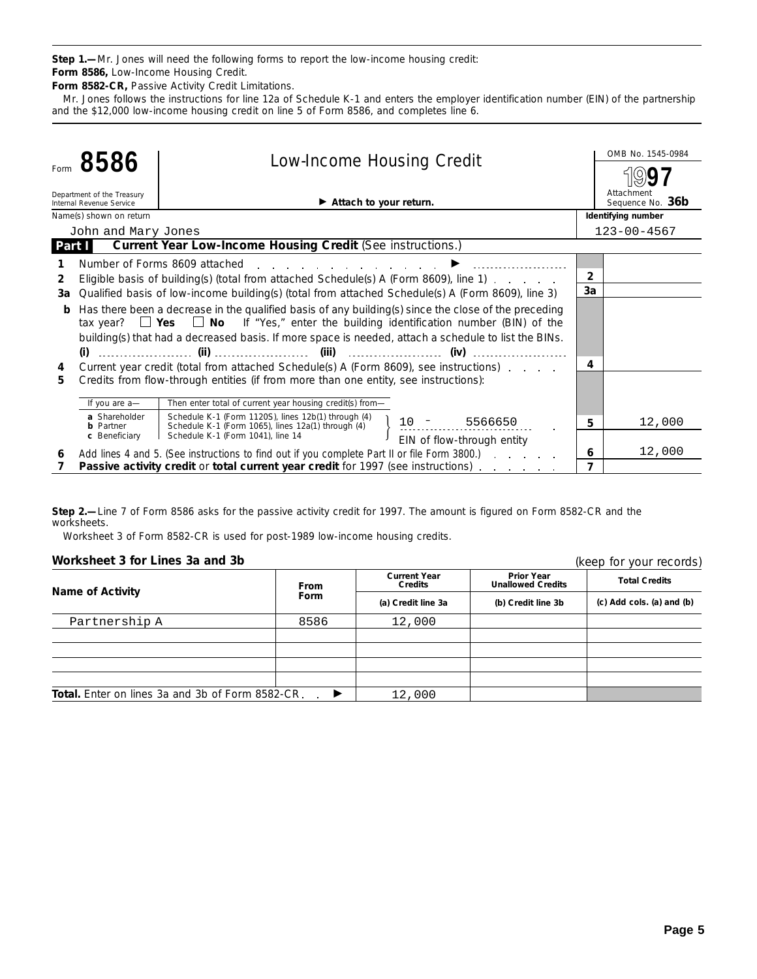**Step 1.—**Mr. Jones will need the following forms to report the low-income housing credit: **Form 8586,** Low-Income Housing Credit.

**Form 8582-CR,** Passive Activity Credit Limitations.

Mr. Jones follows the instructions for line 12a of Schedule K-1 and enters the employer identification number (EIN) of the partnership and the \$12,000 low-income housing credit on line 5 of Form 8586, and completes line 6.

|        | 8586                                                   | <b>Low-Income Housing Credit</b>                                                                     |                            |                | OMB No. 1545-0984              |
|--------|--------------------------------------------------------|------------------------------------------------------------------------------------------------------|----------------------------|----------------|--------------------------------|
|        |                                                        |                                                                                                      |                            |                |                                |
|        | Department of the Treasury<br>Internal Revenue Service | $\blacktriangleright$ Attach to your return.                                                         |                            |                | Attachment<br>Sequence No. 36b |
|        | Name(s) shown on return                                |                                                                                                      |                            |                | Identifying number             |
|        | John and Mary Jones                                    |                                                                                                      |                            |                | $123 - 00 - 4567$              |
| Part I |                                                        | <b>Current Year Low-Income Housing Credit (See instructions.)</b>                                    |                            |                |                                |
|        |                                                        | Number of Forms 8609 attached<br>and the state of the state of the state of the                      |                            |                |                                |
| 2      |                                                        | Eligible basis of building(s) (total from attached Schedule(s) A (Form 8609), line 1)                |                            | $\overline{2}$ |                                |
| За     |                                                        | Qualified basis of low-income building(s) (total from attached Schedule(s) A (Form 8609), line 3)    |                            | 3a             |                                |
| b      |                                                        | Has there been a decrease in the qualified basis of any building(s) since the close of the preceding |                            |                |                                |
|        |                                                        | tax year? $\Box$ Yes $\Box$ No If "Yes," enter the building identification number (BIN) of the       |                            |                |                                |
|        |                                                        | building(s) that had a decreased basis. If more space is needed, attach a schedule to list the BINs. |                            |                |                                |
|        |                                                        |                                                                                                      |                            |                |                                |
| 4      |                                                        | Current year credit (total from attached Schedule(s) A (Form 8609), see instructions)                |                            | 4              |                                |
| 5.     |                                                        | Credits from flow-through entities (if from more than one entity, see instructions):                 |                            |                |                                |
|        | If you are a-                                          | Then enter total of current year housing credit(s) from-                                             |                            |                |                                |
|        | a Shareholder                                          | Schedule K-1 (Form 1120S), lines 12b(1) through (4)                                                  |                            |                |                                |
|        | <b>b</b> Partner                                       | Schedule K-1 (Form 1065), lines 12a(1) through (4)                                                   | $10 - 5566650$             | 5              | 12,000                         |
|        | c Beneficiary                                          | Schedule K-1 (Form 1041), line 14                                                                    | EIN of flow-through entity |                |                                |
| 6      |                                                        | Add lines 4 and 5. (See instructions to find out if you complete Part II or file Form 3800.)         |                            | 6              | 12,000                         |
|        |                                                        | Passive activity credit or total current year credit for 1997 (see instructions)                     |                            | 7              |                                |

**Step 2.—**Line 7 of Form 8586 asks for the passive activity credit for 1997. The amount is figured on Form 8582-CR and the worksheets.

Worksheet 3 of Form 8582-CR is used for post-1989 low-income housing credits.

#### **Worksheet 3 for Lines 3a and 3b**

| Worksheet 3 for Lines 3a and 3b                         |             | (keep for your records)               |                                               |                                 |  |
|---------------------------------------------------------|-------------|---------------------------------------|-----------------------------------------------|---------------------------------|--|
| <b>Name of Activity</b>                                 | <b>From</b> | <b>Current Year</b><br><b>Credits</b> | <b>Prior Year</b><br><b>Unallowed Credits</b> | <b>Total Credits</b>            |  |
|                                                         | <b>Form</b> | (a) Credit line 3a                    | (b) Credit line 3b                            | $(c)$ Add cols. $(a)$ and $(b)$ |  |
| Partnership A                                           | 8586        | 12,000                                |                                               |                                 |  |
|                                                         |             |                                       |                                               |                                 |  |
|                                                         |             |                                       |                                               |                                 |  |
|                                                         |             |                                       |                                               |                                 |  |
|                                                         |             |                                       |                                               |                                 |  |
| <b>Total.</b> Enter on lines 3a and 3b of Form 8582-CR. | ▸           | 12,000                                |                                               |                                 |  |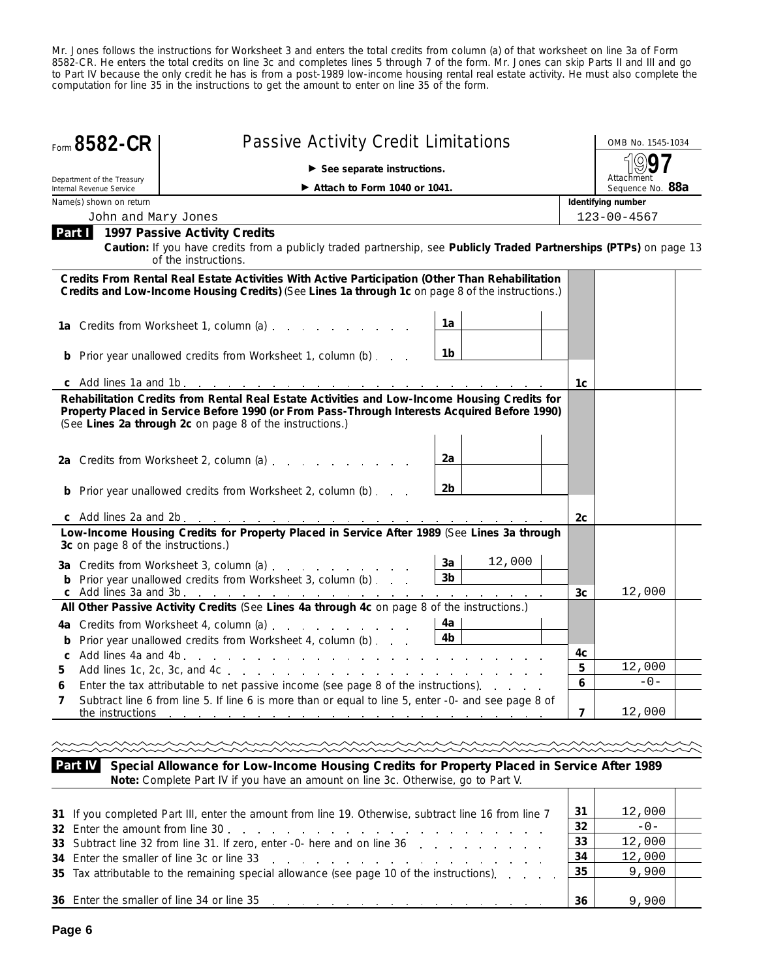Mr. Jones follows the instructions for Worksheet 3 and enters the total credits from column (a) of that worksheet on line 3a of Form 8582-CR. He enters the total credits on line 3c and completes lines 5 through 7 of the form. Mr. Jones can skip Parts II and III and go to Part IV because the only credit he has is from a post-1989 low-income housing rental real estate activity. He must also complete the computation for line 35 in the instructions to get the amount to enter on line 35 of the form.

| Form 8582-CR                                           | <b>Passive Activity Credit Limitations</b>                                                                                                                                                                                                                                |                                |                | OMB No. 1545-1034              |  |  |
|--------------------------------------------------------|---------------------------------------------------------------------------------------------------------------------------------------------------------------------------------------------------------------------------------------------------------------------------|--------------------------------|----------------|--------------------------------|--|--|
|                                                        | $\blacktriangleright$ See separate instructions.                                                                                                                                                                                                                          |                                |                |                                |  |  |
| Department of the Treasury<br>Internal Revenue Service | Attach to Form 1040 or 1041.                                                                                                                                                                                                                                              |                                |                | Attachment<br>Sequence No. 88a |  |  |
| Name(s) shown on return                                |                                                                                                                                                                                                                                                                           |                                |                | Identifying number             |  |  |
| John and Mary Jones                                    |                                                                                                                                                                                                                                                                           |                                |                | $123 - 00 - 4567$              |  |  |
| Part I                                                 | <b>1997 Passive Activity Credits</b><br>Caution: If you have credits from a publicly traded partnership, see Publicly Traded Partnerships (PTPs) on page 13<br>of the instructions.                                                                                       |                                |                |                                |  |  |
|                                                        | Credits From Rental Real Estate Activities With Active Participation (Other Than Rehabilitation<br>Credits and Low-Income Housing Credits) (See Lines 1a through 1c on page 8 of the instructions.)                                                                       |                                |                |                                |  |  |
|                                                        | 1a Credits from Worksheet 1, column (a)                                                                                                                                                                                                                                   | 1a                             |                |                                |  |  |
|                                                        |                                                                                                                                                                                                                                                                           |                                |                |                                |  |  |
|                                                        | <b>b</b> Prior year unallowed credits from Worksheet 1, column (b)                                                                                                                                                                                                        | 1b                             |                |                                |  |  |
|                                                        |                                                                                                                                                                                                                                                                           |                                | 1c             |                                |  |  |
|                                                        | Property Placed in Service Before 1990 (or From Pass-Through Interests Acquired Before 1990)<br>(See Lines 2a through 2c on page 8 of the instructions.)<br>2a Credits from Worksheet 2, column (a)<br><b>b</b> Prior year unallowed credits from Worksheet 2, column (b) | 2a<br>2b                       |                |                                |  |  |
|                                                        |                                                                                                                                                                                                                                                                           |                                | 2c             |                                |  |  |
| 3c on page 8 of the instructions.)                     | Low-Income Housing Credits for Property Placed in Service After 1989 (See Lines 3a through<br>3a Credits from Worksheet 3, column (a)<br><b>b</b> Prior year unallowed credits from Worksheet 3, column (b)                                                               | 12,000<br>3a<br>3 <sub>b</sub> |                |                                |  |  |
|                                                        | c Add lines 3a and 3b. <u>.</u><br>All Other Passive Activity Credits (See Lines 4a through 4c on page 8 of the instructions.)                                                                                                                                            |                                | 3 <sub>c</sub> | 12,000                         |  |  |
| b                                                      | 4a Credits from Worksheet 4, column (a)<br>Prior year unallowed credits from Worksheet 4, column (b)                                                                                                                                                                      | 4a<br>4b                       | 4c             |                                |  |  |
| 5                                                      |                                                                                                                                                                                                                                                                           |                                | 5              | 12,000                         |  |  |
| 6                                                      | Enter the tax attributable to net passive income (see page 8 of the instructions).                                                                                                                                                                                        |                                | 6              | $-0-$                          |  |  |
| 7<br>the instructions                                  | Subtract line 6 from line 5. If line 6 is more than or equal to line 5, enter -0- and see page 8 of<br>and the contract of the contract of the contract of the contract of the contract of                                                                                |                                | $\overline{7}$ | 12,000                         |  |  |
|                                                        |                                                                                                                                                                                                                                                                           |                                |                |                                |  |  |

**Part IV Special Allowance for Low-Income Housing Credits for Property Placed in Service After 1989 Note:** *Complete Part IV if you have an amount on line 3c. Otherwise, go to Part V.*  $\top$  $\top$ 

| 31 If you completed Part III, enter the amount from line 19. Otherwise, subtract line 16 from line 7<br>32 Enter the amount from line 30 | 31<br>32 | 12,000<br>$-0-$ |  |
|------------------------------------------------------------------------------------------------------------------------------------------|----------|-----------------|--|
| 33 Subtract line 32 from line 31. If zero, enter -0- here and on line 36                                                                 | 33       | 12,000          |  |
|                                                                                                                                          | -34      | 12,000          |  |
| 35 Tax attributable to the remaining special allowance (see page 10 of the instructions). $\therefore$ $\therefore$ 35                   |          | 9,900           |  |
|                                                                                                                                          |          |                 |  |
|                                                                                                                                          | 36       | 9.900           |  |

 $\top$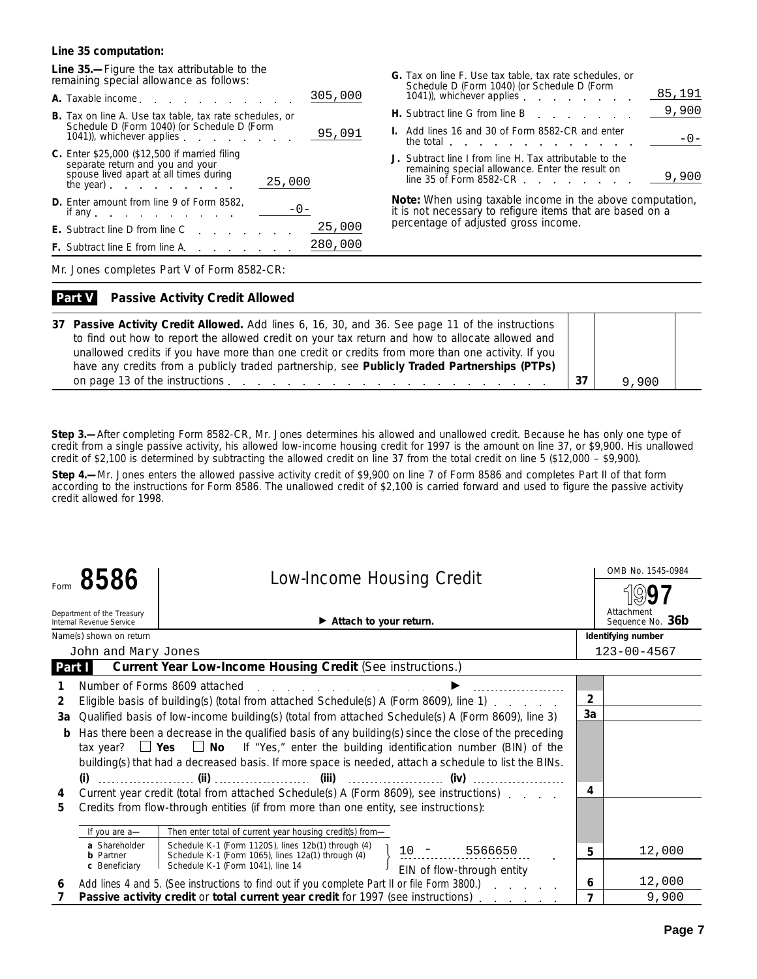#### **Line 35 computation:**

**Line 35.—**Figure the tax attributable to the remaining special allowance as follows:

| A. Taxable income. A.                                                                                                                                                                                                                                                                                                                          | 305,000 |
|------------------------------------------------------------------------------------------------------------------------------------------------------------------------------------------------------------------------------------------------------------------------------------------------------------------------------------------------|---------|
| <b>B.</b> Tax on line A. Use tax table, tax rate schedules, or<br>Schedule D (Form 1040) (or Schedule D (Form<br>1041), whichever applies example to the state of the state of the state of the state of the state of the state of the state of the state of the state of the state of the state of the state of the state of the state of the | 95,091  |
| <b>C.</b> Enter \$25,000 (\$12,500 if married filing<br>separate return and you and your<br>spouse lived apart at all times during<br>25,000<br>the year) $\qquad \qquad \ldots$                                                                                                                                                               |         |
| <b>D.</b> Enter amount from line 9 of Form 8582,<br>$-() -$<br>if any $\blacksquare$                                                                                                                                                                                                                                                           |         |
| <b>E.</b> Subtract line D from line C                                                                                                                                                                                                                                                                                                          | 25,000  |
| <b>F.</b> Subtract line E from line A.                                                                                                                                                                                                                                                                                                         | 280,000 |
|                                                                                                                                                                                                                                                                                                                                                |         |

| <b>G.</b> Tax on line F. Use tax table, tax rate schedules, or<br>Schedule D (Form 1040) (or Schedule D (Form<br>1041), whichever applies expansion and the control of the control of the control of the control of the control of the control of the control of the control of the control of the control of the control of the control of the | 85,191 |
|-------------------------------------------------------------------------------------------------------------------------------------------------------------------------------------------------------------------------------------------------------------------------------------------------------------------------------------------------|--------|
| <b>H.</b> Subtract line G from line B example and the Subtract line G from line B                                                                                                                                                                                                                                                               | 9,900  |
| <b>I.</b> Add lines 16 and 30 of Form 8582-CR and enter<br>the total the state of the state of the state of the state of the state of the state of the state of the state                                                                                                                                                                       |        |
| J. Subtract line I from line H. Tax attributable to the<br>remaining special allowance. Enter the result on<br>line 35 of Form 8582-CR                                                                                                                                                                                                          |        |

**Note:** *When using taxable income in the above computation, it is not necessary to refigure items that are based on a percentage of adjusted gross income.*

Mr. Jones completes Part V of Form 8582-CR:

#### **Passive Activity Credit Allowed Part V**

| 37 Passive Activity Credit Allowed. Add lines 6, 16, 30, and 36. See page 11 of the instructions<br>to find out how to report the allowed credit on your tax return and how to allocate allowed and |       |
|-----------------------------------------------------------------------------------------------------------------------------------------------------------------------------------------------------|-------|
| unallowed credits if you have more than one credit or credits from more than one activity. If you                                                                                                   |       |
| have any credits from a publicly traded partnership, see Publicly Traded Partnerships (PTPs)                                                                                                        |       |
|                                                                                                                                                                                                     | 9,900 |

**Step 3.—**After completing Form 8582-CR, Mr. Jones determines his allowed and unallowed credit. Because he has only one type of credit from a single passive activity, his allowed low-income housing credit for 1997 is the amount on line 37, or \$9,900. His unallowed credit of \$2,100 is determined by subtracting the allowed credit on line 37 from the total credit on line 5 (\$12,000 – \$9,900).

**Step 4.—**Mr. Jones enters the allowed passive activity credit of \$9,900 on line 7 of Form 8586 and completes Part II of that form according to the instructions for Form 8586. The unallowed credit of \$2,100 is carried forward and used to figure the passive activity credit allowed for 1998.

|              | 8586                                                   | <b>Low-Income Housing Credit</b>                                                                                                                                                                                                                                                                                                                                                                        |                | OMB No. 1545-0984              |
|--------------|--------------------------------------------------------|---------------------------------------------------------------------------------------------------------------------------------------------------------------------------------------------------------------------------------------------------------------------------------------------------------------------------------------------------------------------------------------------------------|----------------|--------------------------------|
|              | Department of the Treasury<br>Internal Revenue Service | Attach to your return.                                                                                                                                                                                                                                                                                                                                                                                  |                | Attachment<br>Sequence No. 36b |
|              | Name(s) shown on return                                |                                                                                                                                                                                                                                                                                                                                                                                                         |                | Identifying number             |
|              | John and Mary Jones                                    |                                                                                                                                                                                                                                                                                                                                                                                                         |                | $123 - 00 - 4567$              |
| Part I       |                                                        | Current Year Low-Income Housing Credit (See instructions.)                                                                                                                                                                                                                                                                                                                                              |                |                                |
|              |                                                        | Number of Forms 8609 attached                                                                                                                                                                                                                                                                                                                                                                           |                |                                |
| $\mathbf{2}$ |                                                        | Eligible basis of building(s) (total from attached Schedule(s) A (Form 8609), line 1)                                                                                                                                                                                                                                                                                                                   | $\overline{2}$ |                                |
| За           |                                                        | Qualified basis of low-income building(s) (total from attached Schedule(s) A (Form 8609), line 3)                                                                                                                                                                                                                                                                                                       | 3a             |                                |
| b<br>4       |                                                        | Has there been a decrease in the qualified basis of any building(s) since the close of the preceding<br>tax year? $\Box$ Yes $\Box$ No If "Yes," enter the building identification number (BIN) of the<br>building(s) that had a decreased basis. If more space is needed, attach a schedule to list the BINs.<br>Current year credit (total from attached Schedule(s) A (Form 8609), see instructions) | 4              |                                |
| 5.           |                                                        | Credits from flow-through entities (if from more than one entity, see instructions):                                                                                                                                                                                                                                                                                                                    |                |                                |
|              | If you are a-<br>a Shareholder                         | Then enter total of current year housing credit(s) from-<br>Schedule K-1 (Form 1120S), lines 12b(1) through (4)                                                                                                                                                                                                                                                                                         |                | 12,000                         |
|              | <b>b</b> Partner                                       | $10 - 5566650$<br>Schedule K-1 (Form 1065), lines 12a(1) through (4)<br>Schedule K-1 (Form 1041), line 14                                                                                                                                                                                                                                                                                               | 5              |                                |
|              | c Beneficiary                                          | EIN of flow-through entity                                                                                                                                                                                                                                                                                                                                                                              |                |                                |
| 6            |                                                        | Add lines 4 and 5. (See instructions to find out if you complete Part II or file Form 3800.)                                                                                                                                                                                                                                                                                                            | 6              | 12,000<br>9,900                |
|              |                                                        | Passive activity credit or total current year credit for 1997 (see instructions)                                                                                                                                                                                                                                                                                                                        | 7              |                                |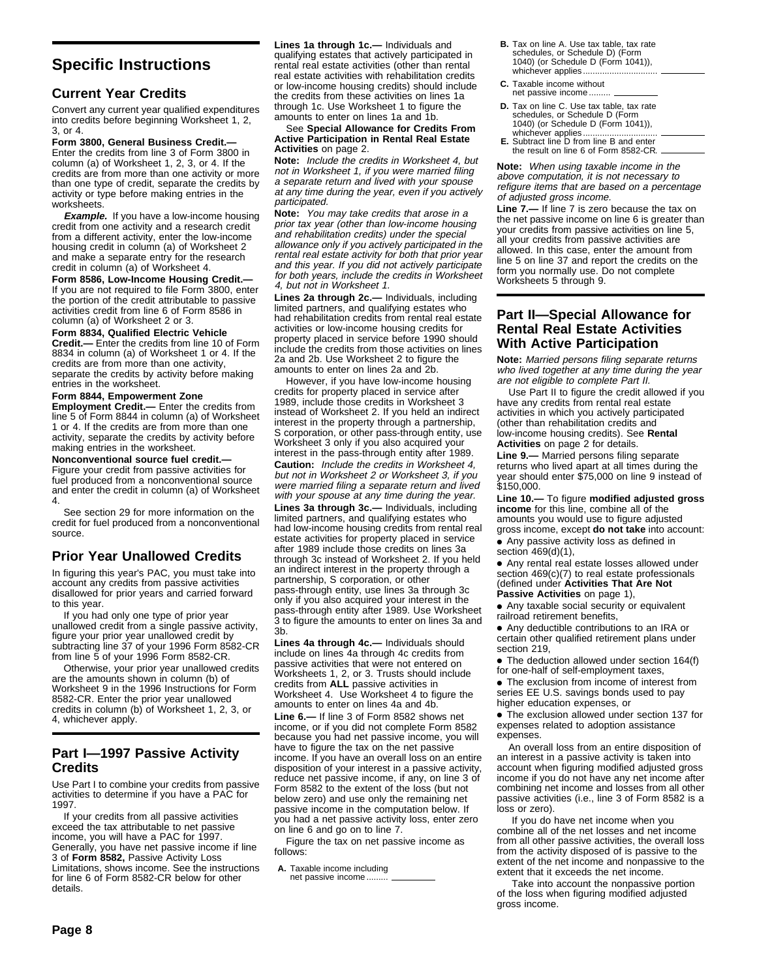## **Current Year Credits**

Convert any current year qualified expenditures into credits before beginning Worksheet 1, 2, 3, or 4.

**Form 3800, General Business Credit.—** Enter the credits from line 3 of Form 3800 in column (a) of Worksheet 1, 2, 3, or 4. If the credits are from more than one activity or more than one type of credit, separate the credits by activity or type before making entries in the worksheets.

**Example.** If you have a low-income housing credit from one activity and a research credit from a different activity, enter the low-income housing credit in column (a) of Worksheet 2 and make a separate entry for the research credit in column (a) of Worksheet 4.

**Form 8586, Low-Income Housing Credit.—** If you are not required to file Form 3800, enter the portion of the credit attributable to passive activities credit from line 6 of Form 8586 in column (a) of Worksheet 2 or 3.

**Form 8834, Qualified Electric Vehicle Credit.—** Enter the credits from line 10 of Form 8834 in column (a) of Worksheet 1 or 4. If the credits are from more than one activity, separate the credits by activity before making entries in the worksheet.

#### **Form 8844, Empowerment Zone**

**Employment Credit.—** Enter the credits from line 5 of Form 8844 in column (a) of Worksheet 1 or 4. If the credits are from more than one activity, separate the credits by activity before making entries in the worksheet.

**Nonconventional source fuel credit.—**

Figure your credit from passive activities for fuel produced from a nonconventional source and enter the credit in column (a) of Worksheet 4.

See section 29 for more information on the credit for fuel produced from a nonconventional source.

#### **Prior Year Unallowed Credits**

In figuring this year's PAC, you must take into account any credits from passive activities disallowed for prior years and carried forward to this year.

If you had only one type of prior year unallowed credit from a single passive activity, figure your prior year unallowed credit by subtracting line 37 of your 1996 Form 8582-CR from line 5 of your 1996 Form 8582-CR.

Otherwise, your prior year unallowed credits are the amounts shown in column (b) of Worksheet 9 in the 1996 Instructions for Form 8582-CR. Enter the prior year unallowed credits in column (b) of Worksheet 1, 2, 3, or 4, whichever apply.

#### **Part I—1997 Passive Activity Credits**

Use Part I to combine your credits from passive activities to determine if you have a PAC for 1997.

If your credits from all passive activities exceed the tax attributable to net passive income, you will have a PAC for 1997. Generally, you have net passive income if line 3 of **Form 8582,** Passive Activity Loss Limitations, shows income. See the instructions for line 6 of Form 8582-CR below for other details.

**Lines 1a through 1c.—** Individuals and qualifying estates that actively participated in rental real estate activities (other than rental real estate activities with rehabilitation credits or low-income housing credits) should include the credits from these activities on lines 1a through 1c. Use Worksheet 1 to figure the amounts to enter on lines 1a and 1b.

See **Special Allowance for Credits From Active Participation in Rental Real Estate Activities** on page 2.

**Note:** Include the credits in Worksheet 4, but not in Worksheet 1, if you were married filing a separate return and lived with your spouse at any time during the year, even if you actively participated.

**Note:** You may take credits that arose in a prior tax year (other than low-income housing and rehabilitation credits) under the special allowance only if you actively participated in the rental real estate activity for both that prior year and this year. If you did not actively participate for both years, include the credits in Worksheet 4, but not in Worksheet 1.

**Lines 2a through 2c.—** Individuals, including limited partners, and qualifying estates who had rehabilitation credits from rental real estate activities or low-income housing credits for property placed in service before 1990 should include the credits from those activities on lines 2a and 2b. Use Worksheet 2 to figure the amounts to enter on lines 2a and 2b.

However, if you have low-income housing credits for property placed in service after 1989, include those credits in Worksheet 3 instead of Worksheet 2. If you held an indirect interest in the property through a partnership, S corporation, or other pass-through entity, use Worksheet 3 only if you also acquired your interest in the pass-through entity after 1989. **Caution:** Include the credits in Worksheet 4, but not in Worksheet 2 or Worksheet 3, if you were married filing a separate return and lived with your spouse at any time during the year.

**Lines 3a through 3c.—** Individuals, including limited partners, and qualifying estates who had low-income housing credits from rental real estate activities for property placed in service after 1989 include those credits on lines 3a through 3c instead of Worksheet 2. If you held an indirect interest in the property through a partnership, S corporation, or other pass-through entity, use lines 3a through 3c only if you also acquired your interest in the pass-through entity after 1989. Use Worksheet 3 to figure the amounts to enter on lines 3a and 3b.

**Lines 4a through 4c.—** Individuals should include on lines 4a through 4c credits from passive activities that were not entered on Worksheets 1, 2, or 3. Trusts should include credits from **ALL** passive activities in Worksheet 4. Use Worksheet 4 to figure the amounts to enter on lines 4a and 4b. **Line 6.—** If line 3 of Form 8582 shows net income, or if you did not complete Form 8582 because you had net passive income, you will have to figure the tax on the net passive income. If you have an overall loss on an entire disposition of your interest in a passive activity, reduce net passive income, if any, on line 3 of Form 8582 to the extent of the loss (but not below zero) and use only the remaining net passive income in the computation below. If you had a net passive activity loss, enter zero on line 6 and go on to line 7.

Figure the tax on net passive income as follows:

**A.** Taxable income including net passive income .........

- **B.** Tax on line A. Use tax table, tax rate schedules, or Schedule D) (Form 1040) (or Schedule D (Form 1041)), whichever applies...
- **C.** Taxable income without net passive income.
- **D.** Tax on line C. Use tax table, tax rate schedules, or Schedule D (Form 1040) (or Schedule D (Form 1041)),
- whichever applies............................... **E.** Subtract line D from line B and enter the result on line 6 of Form 8582-CR.

**Note:** When using taxable income in the above computation, it is not necessary to refigure items that are based on a percentage of adjusted gross income.

**Line 7.—** If line 7 is zero because the tax on the net passive income on line 6 is greater than your credits from passive activities on line 5, all your credits from passive activities are allowed. In this case, enter the amount from line 5 on line 37 and report the credits on the form you normally use. Do not complete Worksheets 5 through 9.

#### **Part II—Special Allowance for Rental Real Estate Activities With Active Participation**

**Note:** Married persons filing separate returns who lived together at any time during the year are not eligible to complete Part II.

Use Part II to figure the credit allowed if you have any credits from rental real estate activities in which you actively participated (other than rehabilitation credits and low-income housing credits). See **Rental Activities** on page 2 for details.

**Line 9.—** Married persons filing separate returns who lived apart at all times during the year should enter \$75,000 on line 9 instead of \$150,000.

**Line 10.—** To figure **modified adjusted gross income** for this line, combine all of the amounts you would use to figure adjusted gross income, except **do not take** into account:

• Any passive activity loss as defined in section 469(d)(1),

• Any rental real estate losses allowed under section 469(c)(7) to real estate professionals (defined under **Activities That Are Not Passive Activities** on page 1),

• Any taxable social security or equivalent railroad retirement benefits,

• Any deductible contributions to an IRA or certain other qualified retirement plans under section 219,

• The deduction allowed under section 164(f) for one-half of self-employment taxes,

• The exclusion from income of interest from series EE U.S. savings bonds used to pay higher education expenses, or

• The exclusion allowed under section 137 for expenses related to adoption assistance expenses.

An overall loss from an entire disposition of an interest in a passive activity is taken into account when figuring modified adjusted gross income if you do not have any net income after combining net income and losses from all other passive activities (i.e., line 3 of Form 8582 is a loss or zero).

 If you do have net income when you combine all of the net losses and net income from all other passive activities, the overall loss from the activity disposed of is passive to the extent of the net income and nonpassive to the extent that it exceeds the net income.

 Take into account the nonpassive portion of the loss when figuring modified adjusted gross income.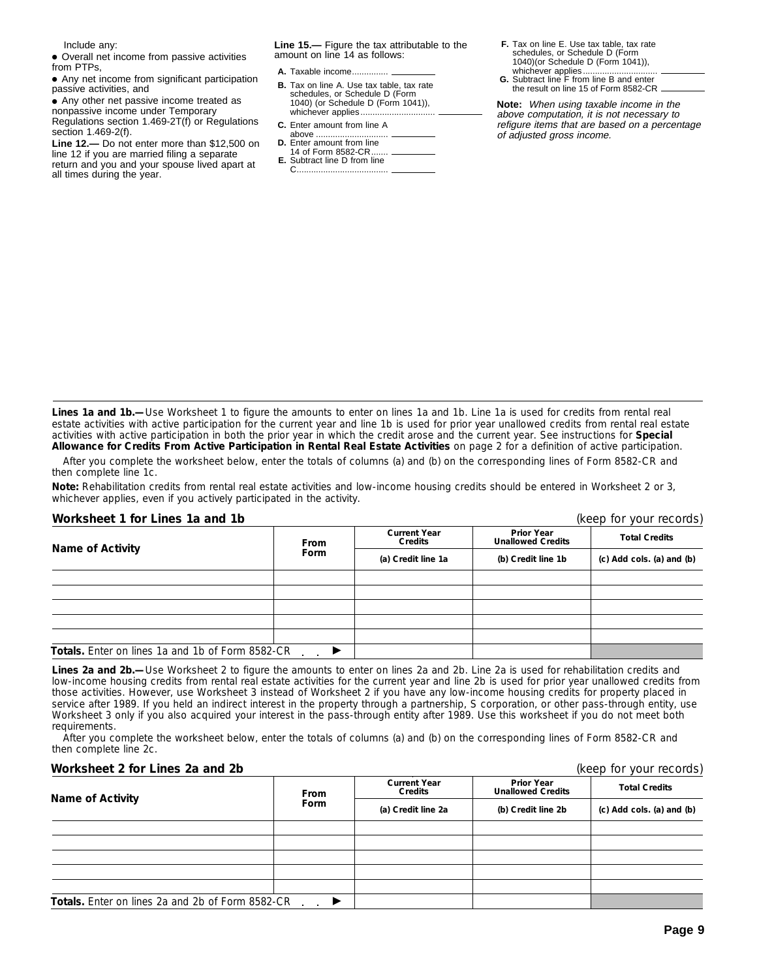Include any:

• Overall net income from passive activities from PTPs,

●A Any net income from significant participation passive activities, and

• Any other net passive income treated as nonpassive income under Temporary

Regulations section 1.469-2T(f) or Regulations section 1.469-2(f).

**Line 12.—** Do not enter more than \$12,500 on line 12 if you are married filing a separate return and you and your spouse lived apart at all times during the year.

**Line 15.—** Figure the tax attributable to the amount on line 14 as follows:

- **the result on line 15 of Form 8582-CR. B.** Tax on line A. Use tax table, tax rate the result on line 15 of Form 8582-CR. schedules, or Schedule D (Form 1040) (or Schedule D (Form 1041)), whichever applies...
- **C.** Enter amount from line A
- above ..
- **D.** Enter amount from line 14 of Form 8582-CR.......
- **E.** Subtract line D from line C ......................................

**F.** Tax on line E. Use tax table, tax rate schedules, or Schedule D (Form 1040)(or Schedule D (Form 1041)),

**A.** Taxable income............... whichever applies............................... **G.** Subtract line F from line B and enter

**Note:** When using taxable income in the above computation, it is not necessary to refigure items that are based on a percentage of adjusted gross income.

**Lines 1a and 1b.—**Use Worksheet 1 to figure the amounts to enter on lines 1a and 1b. Line 1a is used for credits from rental real estate activities with active participation for the current year and line 1b is used for prior year unallowed credits from rental real estate activities with active participation in both the prior year in which the credit arose and the current year. See instructions for **Special Allowance for Credits From Active Participation in Rental Real Estate Activities** on page 2 for a definition of active participation.

After you complete the worksheet below, enter the totals of columns (a) and (b) on the corresponding lines of Form 8582-CR and then complete line 1c.

**Note:** *Rehabilitation credits from rental real estate activities and low-income housing credits should be entered in Worksheet 2 or 3, whichever applies, even if you actively participated in the activity.*

#### **Worksheet 1 for Lines 1a and 1b** (keep for your records)

| <b>Name of Activity</b>                                 | <b>From</b> | <b>Current Year</b><br><b>Credits</b> | <b>Prior Year</b><br><b>Unallowed Credits</b> | <b>Total Credits</b>      |  |
|---------------------------------------------------------|-------------|---------------------------------------|-----------------------------------------------|---------------------------|--|
|                                                         | <b>Form</b> | (a) Credit line 1a                    | (b) Credit line 1b                            | (c) Add cols. (a) and (b) |  |
|                                                         |             |                                       |                                               |                           |  |
|                                                         |             |                                       |                                               |                           |  |
|                                                         |             |                                       |                                               |                           |  |
|                                                         |             |                                       |                                               |                           |  |
|                                                         |             |                                       |                                               |                           |  |
| <b>Totals.</b> Enter on lines 1a and 1b of Form 8582-CR |             |                                       |                                               |                           |  |

**Lines 2a and 2b.—**Use Worksheet 2 to figure the amounts to enter on lines 2a and 2b. Line 2a is used for rehabilitation credits and low-income housing credits from rental real estate activities for the current year and line 2b is used for prior year unallowed credits from those activities. However, use Worksheet 3 instead of Worksheet 2 if you have any low-income housing credits for property placed in service after 1989. If you held an indirect interest in the property through a partnership, S corporation, or other pass-through entity, use Worksheet 3 only if you also acquired your interest in the pass-through entity after 1989. Use this worksheet if you do not meet both requirements.

After you complete the worksheet below, enter the totals of columns (a) and (b) on the corresponding lines of Form 8582-CR and then complete line 2c.

#### **Worksheet 2 for Lines 2a and 2b** (keep for your records)

| Name of Activity                                 | <b>From</b> | <b>Current Year</b><br><b>Credits</b> | <b>Prior Year</b><br><b>Unallowed Credits</b> | <b>Total Credits</b>      |
|--------------------------------------------------|-------------|---------------------------------------|-----------------------------------------------|---------------------------|
|                                                  | <b>Form</b> | (a) Credit line 2a                    | (b) Credit line 2b                            | (c) Add cols. (a) and (b) |
|                                                  |             |                                       |                                               |                           |
|                                                  |             |                                       |                                               |                           |
|                                                  |             |                                       |                                               |                           |
|                                                  |             |                                       |                                               |                           |
|                                                  |             |                                       |                                               |                           |
| Totals. Enter on lines 2a and 2b of Form 8582-CR |             |                                       |                                               |                           |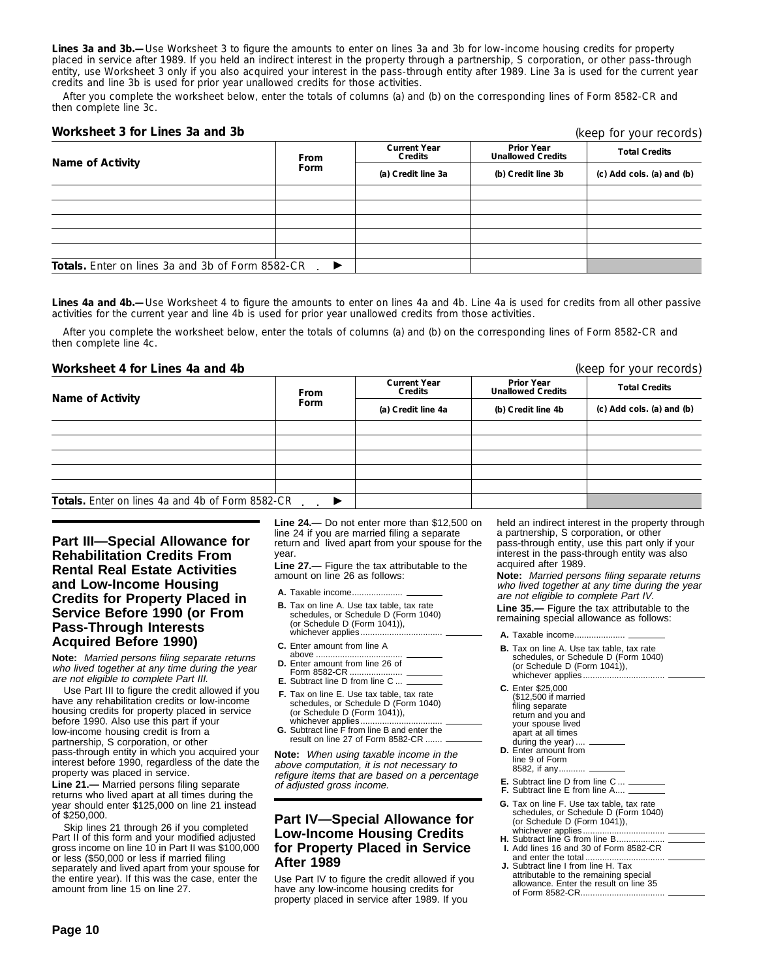**Lines 3a and 3b.—**Use Worksheet 3 to figure the amounts to enter on lines 3a and 3b for low-income housing credits for property placed in service after 1989. If you held an indirect interest in the property through a partnership, S corporation, or other pass-through entity, use Worksheet 3 only if you also acquired your interest in the pass-through entity after 1989. Line 3a is used for the current year credits and line 3b is used for prior year unallowed credits for those activities.

After you complete the worksheet below, enter the totals of columns (a) and (b) on the corresponding lines of Form 8582-CR and then complete line 3c.

#### **Worksheet 3 for Lines 3a and 3b**

| Name of Activity                                        | <b>From</b>           | <b>Current Year</b><br>Credits | <b>Prior Year</b><br><b>Unallowed Credits</b> | <b>Total Credits</b><br>(c) Add cols. (a) and (b) |  |
|---------------------------------------------------------|-----------------------|--------------------------------|-----------------------------------------------|---------------------------------------------------|--|
|                                                         | Form                  | (a) Credit line 3a             | (b) Credit line 3b                            |                                                   |  |
|                                                         |                       |                                |                                               |                                                   |  |
|                                                         |                       |                                |                                               |                                                   |  |
|                                                         |                       |                                |                                               |                                                   |  |
|                                                         |                       |                                |                                               |                                                   |  |
|                                                         |                       |                                |                                               |                                                   |  |
| <b>Totals.</b> Enter on lines 3a and 3b of Form 8582-CR | $\blacktriangleright$ |                                |                                               |                                                   |  |

**Lines 4a and 4b.—**Use Worksheet 4 to figure the amounts to enter on lines 4a and 4b. Line 4a is used for credits from all other passive activities for the current year and line 4b is used for prior year unallowed credits from those activities.

After you complete the worksheet below, enter the totals of columns (a) and (b) on the corresponding lines of Form 8582-CR and then complete line 4c.

#### **Worksheet 4 for Lines 4a and 4b** (keep for your records)

| <b>Name of Activity</b>                                 | <b>From</b> | <b>Current Year</b><br>Credits | <b>Prior Year</b><br><b>Unallowed Credits</b> | <b>Total Credits</b>      |  |
|---------------------------------------------------------|-------------|--------------------------------|-----------------------------------------------|---------------------------|--|
|                                                         | Form        | (a) Credit line 4a             | (b) Credit line 4b                            | (c) Add cols. (a) and (b) |  |
|                                                         |             |                                |                                               |                           |  |
|                                                         |             |                                |                                               |                           |  |
|                                                         |             |                                |                                               |                           |  |
|                                                         |             |                                |                                               |                           |  |
|                                                         |             |                                |                                               |                           |  |
| <b>Totals.</b> Enter on lines 4a and 4b of Form 8582-CR |             |                                |                                               |                           |  |

#### **Part III—Special Allowance for Rehabilitation Credits From Rental Real Estate Activities and Low-Income Housing Credits for Property Placed in Service Before 1990 (or From Pass-Through Interests Acquired Before 1990)**

**Note:** Married persons filing separate returns who lived together at any time during the year are not eligible to complete Part III.

Use Part III to figure the credit allowed if you have any rehabilitation credits or low-income housing credits for property placed in service before 1990. Also use this part if your low-income housing credit is from a partnership, S corporation, or other pass-through entity in which you acquired your interest before 1990, regardless of the date the property was placed in service.

**Line 21.—** Married persons filing separate returns who lived apart at all times during the year should enter \$125,000 on line 21 instead of \$250,000.

Skip lines 21 through 26 if you completed Part II of this form and your modified adjusted gross income on line 10 in Part II was \$100,000 or less (\$50,000 or less if married filing separately and lived apart from your spouse for the entire year). If this was the case, enter the amount from line 15 on line 27.

**Line 24.—** Do not enter more than \$12,500 on line 24 if you are married filing a separate return and lived apart from your spouse for the year.

**Line 27.—** Figure the tax attributable to the amount on line 26 as follows:

**A.** Taxable income.....................

- **B.** Tax on line A. Use tax table, tax rate schedules, or Schedule D (Form 1040) (or Schedule D (Form 1041)), whichever applies.................................. **A.** Taxable income.....................
- **C.** Enter amount from line A
- above .................................... **D.** Enter amount from line 26 of
- Form 8582-CR ...................... **E.** Subtract line D from line C ...
- **F.** Tax on line E. Use tax table, tax rate schedules, or Schedule D (Form 1040)
- (or Schedule D (Form 1041)), whichever applies...
- **G.** Subtract line F from line B and enter the result on line 27 of Form 8582-CR .......

**Note:** When using taxable income in the above computation, it is not necessary to refigure items that are based on a percentage of adjusted gross income.

#### **Part IV—Special Allowance for Low-Income Housing Credits for Property Placed in Service After 1989**

Use Part IV to figure the credit allowed if you have any low-income housing credits for property placed in service after 1989. If you

held an indirect interest in the property through a partnership, S corporation, or other pass-through entity, use this part only if your interest in the pass-through entity was also acquired after 1989.

**Note:** Married persons filing separate returns who lived together at any time during the year are not eligible to complete Part IV.

**Line 35.—** Figure the tax attributable to the remaining special allowance as follows:

- 
- **B.** Tax on line A. Use tax table, tax rate schedules, or Schedule D (Form 1040) (or Schedule D (Form 1041)), whichever applies.

**C.** Enter \$25,000 (\$12,500 if married filing separate return and you and your spouse lived

- apart at all times
- during the year). **D.** Enter amount from line 9 of Form
- 8582, if any....
- **E.** Subtract line D from line C ... **F.** Subtract line E from line A....
- **G.** Tax on line F. Use tax table, tax rate schedules, or Schedule D (Form 1040) (or Schedule D (Form 1041)), whichever applies....
- **H.** Subtract line G from line B... **I.** Add lines 16 and 30 of Form 8582-CR
- and enter the total ................................. **J.** Subtract line I from line H. Tax attributable to the remaining special allowance. Enter the result on line 35 of Form 8582-CR......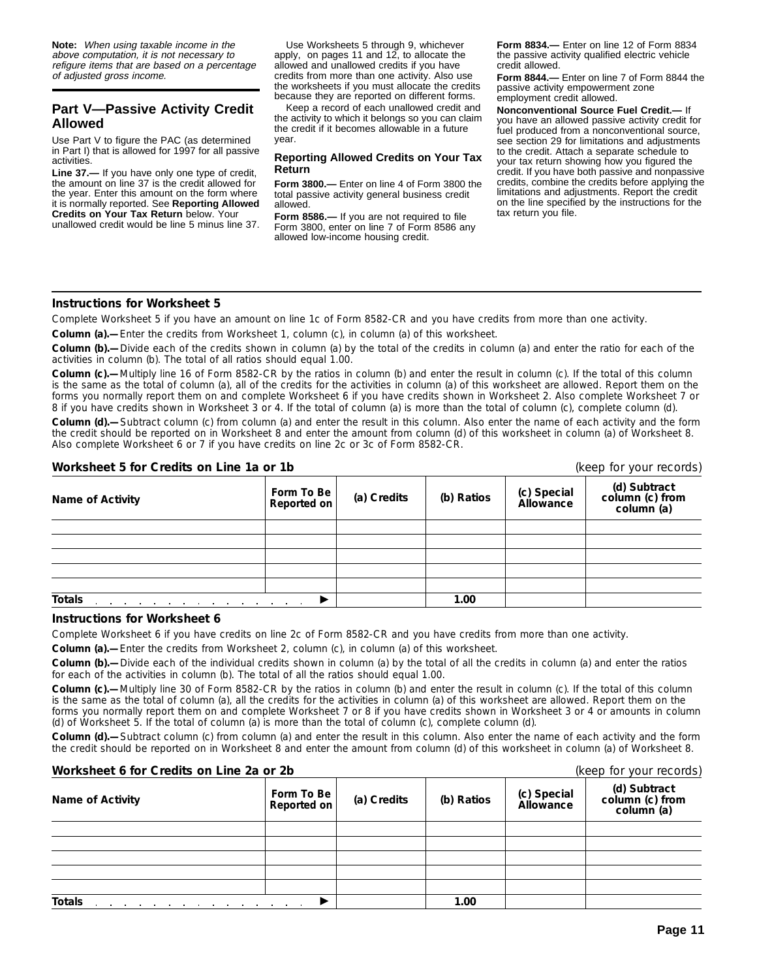**Note:** When using taxable income in the above computation, it is not necessary to refigure items that are based on a percentage of adjusted gross income.

## **Part V—Passive Activity Credit Allowed**

Use Part V to figure the PAC (as determined in Part I) that is allowed for 1997 for all passive activities.

**Line 37.—** If you have only one type of credit, the amount on line 37 is the credit allowed for the year. Enter this amount on the form where it is normally reported. See **Reporting Allowed Credits on Your Tax Return** below. Your unallowed credit would be line 5 minus line 37.

Use Worksheets 5 through 9, whichever apply, on pages 11 and 12, to allocate the allowed and unallowed credits if you have credits from more than one activity. Also use the worksheets if you must allocate the credits because they are reported on different forms.

Keep a record of each unallowed credit and the activity to which it belongs so you can claim the credit if it becomes allowable in a future year.

#### **Reporting Allowed Credits on Your Tax Return**

**Form 3800.—** Enter on line 4 of Form 3800 the total passive activity general business credit allowed.

**Form 8586.—** If you are not required to file Form 3800, enter on line 7 of Form 8586 any allowed low-income housing credit.

**Form 8834.—** Enter on line 12 of Form 8834 the passive activity qualified electric vehicle credit allowed.

**Form 8844.—** Enter on line 7 of Form 8844 the passive activity empowerment zone employment credit allowed.

**Nonconventional Source Fuel Credit.—** If you have an allowed passive activity credit for fuel produced from a nonconventional source, see section 29 for limitations and adjustments to the credit. Attach a separate schedule to your tax return showing how you figured the credit. If you have both passive and nonpassive credits, combine the credits before applying the limitations and adjustments. Report the credit on the line specified by the instructions for the tax return you file.

#### **Instructions for Worksheet 5**

Complete Worksheet 5 if you have an amount on line 1c of Form 8582-CR and you have credits from more than one activity.

**Column (a).—**Enter the credits from Worksheet 1, column (c), in column (a) of this worksheet.

**Column (b).—**Divide each of the credits shown in column (a) by the total of the credits in column (a) and enter the ratio for each of the activities in column (b). The total of all ratios should equal 1.00.

**Column (c).—**Multiply line 16 of Form 8582-CR by the ratios in column (b) and enter the result in column (c). If the total of this column is the same as the total of column (a), all of the credits for the activities in column (a) of this worksheet are allowed. Report them on the forms you normally report them on and complete Worksheet 6 if you have credits shown in Worksheet 2. Also complete Worksheet 7 or 8 if you have credits shown in Worksheet 3 or 4. If the total of column (a) is more than the total of column (c), complete column (d).

**Column (d).—**Subtract column (c) from column (a) and enter the result in this column. Also enter the name of each activity and the form the credit should be reported on in Worksheet 8 and enter the amount from column (d) of this worksheet in column (a) of Worksheet 8. Also complete Worksheet 6 or 7 if you have credits on line 2c or 3c of Form 8582-CR.

#### **Worksheet 5 for Credits on Line 1a or 1b** (keep for your records)

| <b>WUINSING UP UP OF CHILE OF LITE IS UP TO</b>                                      |                               |             |            |                          | INCENTUL YUUL ICCUIUS)                        |  |  |
|--------------------------------------------------------------------------------------|-------------------------------|-------------|------------|--------------------------|-----------------------------------------------|--|--|
| <b>Name of Activity</b>                                                              | Form To Be $ $<br>Reported on | (a) Credits | (b) Ratios | (c) Special<br>Allowance | (d) Subtract<br>column (c) from<br>column (a) |  |  |
|                                                                                      |                               |             |            |                          |                                               |  |  |
|                                                                                      |                               |             |            |                          |                                               |  |  |
|                                                                                      |                               |             |            |                          |                                               |  |  |
|                                                                                      |                               |             |            |                          |                                               |  |  |
|                                                                                      |                               |             |            |                          |                                               |  |  |
| <b>Totals</b><br>the contract of the contract of the contract of the contract of the |                               |             | 1.00       |                          |                                               |  |  |

#### **Instructions for Worksheet 6**

Complete Worksheet 6 if you have credits on line 2c of Form 8582-CR and you have credits from more than one activity.

**Column (a).—**Enter the credits from Worksheet 2, column (c), in column (a) of this worksheet.

**Column (b).—**Divide each of the individual credits shown in column (a) by the total of all the credits in column (a) and enter the ratios for each of the activities in column (b). The total of all the ratios should equal 1.00.

**Column (c).—**Multiply line 30 of Form 8582-CR by the ratios in column (b) and enter the result in column (c). If the total of this column is the same as the total of column (a), all the credits for the activities in column (a) of this worksheet are allowed. Report them on the forms you normally report them on and complete Worksheet 7 or 8 if you have credits shown in Worksheet 3 or 4 or amounts in column (d) of Worksheet 5. If the total of column (a) is more than the total of column (c), complete column (d).

**Column (d).—**Subtract column (c) from column (a) and enter the result in this column. Also enter the name of each activity and the form the credit should be reported on in Worksheet 8 and enter the amount from column (d) of this worksheet in column (a) of Worksheet 8.

| Worksheet 6 for Credits on Line 2a or 2b                                                  |                                  |             |            | (keep for your records)  |                                               |  |
|-------------------------------------------------------------------------------------------|----------------------------------|-------------|------------|--------------------------|-----------------------------------------------|--|
| <b>Name of Activity</b>                                                                   | Form To Be<br><b>Reported on</b> | (a) Credits | (b) Ratios | (c) Special<br>Allowance | (d) Subtract<br>column (c) from<br>column (a) |  |
|                                                                                           |                                  |             |            |                          |                                               |  |
|                                                                                           |                                  |             |            |                          |                                               |  |
|                                                                                           |                                  |             |            |                          |                                               |  |
|                                                                                           |                                  |             |            |                          |                                               |  |
|                                                                                           |                                  |             |            |                          |                                               |  |
| <b>Totals</b><br>the contract of the contract of the contract of the contract of the con- |                                  |             | 1.00       |                          |                                               |  |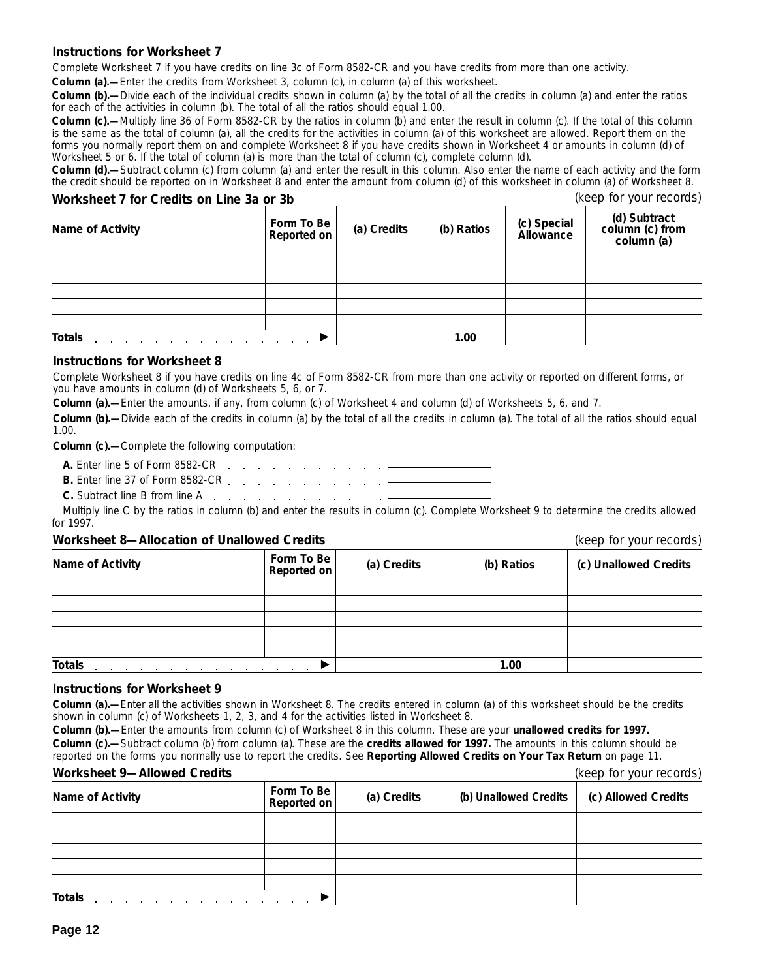#### **Instructions for Worksheet 7**

Complete Worksheet 7 if you have credits on line 3c of Form 8582-CR and you have credits from more than one activity.

**Column (a).**—Enter the credits from Worksheet 3, column (c), in column (a) of this worksheet.

**Column (b).—**Divide each of the individual credits shown in column (a) by the total of all the credits in column (a) and enter the ratios for each of the activities in column (b). The total of all the ratios should equal 1.00.

**Column (c).—**Multiply line 36 of Form 8582-CR by the ratios in column (b) and enter the result in column (c). If the total of this column is the same as the total of column (a), all the credits for the activities in column (a) of this worksheet are allowed. Report them on the forms you normally report them on and complete Worksheet 8 if you have credits shown in Worksheet 4 or amounts in column (d) of Worksheet 5 or 6. If the total of column (a) is more than the total of column (c), complete column (d).

**Column (d).—**Subtract column (c) from column (a) and enter the result in this column. Also enter the name of each activity and the form the credit should be reported on in Worksheet 8 and enter the amount from column (d) of this worksheet in column (a) of Worksheet 8.

### **Worksheet 7 for Credits on Line 3a or 3b** (keep for your records)

| Name of Activity                      | Form To Be<br>Reported on | (a) Credits | (b) Ratios | (c) Special<br>Allowance | (d) Subtract<br>column (c) from<br>column (a) |
|---------------------------------------|---------------------------|-------------|------------|--------------------------|-----------------------------------------------|
|                                       |                           |             |            |                          |                                               |
|                                       |                           |             |            |                          |                                               |
|                                       |                           |             |            |                          |                                               |
|                                       |                           |             |            |                          |                                               |
|                                       |                           |             |            |                          |                                               |
| <b>Totals</b><br>$\sim$<br>$\sim 100$ |                           |             | 1.00       |                          |                                               |

#### **Instructions for Worksheet 8**

Complete Worksheet 8 if you have credits on line 4c of Form 8582-CR from more than one activity or reported on different forms, or you have amounts in column (d) of Worksheets 5, 6, or 7.

**Column (a).—**Enter the amounts, if any, from column (c) of Worksheet 4 and column (d) of Worksheets 5, 6, and 7.

**Column (b).—**Divide each of the credits in column (a) by the total of all the credits in column (a). The total of all the ratios should equal 1.00.

**Column (c).—**Complete the following computation:

- **A.** Enter line 5 of Form 8582-CR
- **B.** Enter line 37 of Form 8582-CR
- **C.** Subtract line B from line A

Multiply line C by the ratios in column (b) and enter the results in column (c). Complete Worksheet 9 to determine the credits allowed for 1997.

#### **Worksheet 8—Allocation of Unallowed Credits** (keep for your records)

| Name of Activity                            | Form To Be<br>Reported on       | (a) Credits | (b) Ratios | (c) Unallowed Credits |
|---------------------------------------------|---------------------------------|-------------|------------|-----------------------|
|                                             |                                 |             |            |                       |
|                                             |                                 |             |            |                       |
|                                             |                                 |             |            |                       |
|                                             |                                 |             |            |                       |
|                                             |                                 |             |            |                       |
| <b>Totals</b><br>the company of the company | the contract of the contract of |             | 1.00       |                       |

#### **Instructions for Worksheet 9**

**Column (a).—**Enter all the activities shown in Worksheet 8. The credits entered in column (a) of this worksheet should be the credits shown in column (c) of Worksheets 1, 2, 3, and 4 for the activities listed in Worksheet 8.

**Column (b).—**Enter the amounts from column (c) of Worksheet 8 in this column. These are your **unallowed credits for 1997. Column (c).—**Subtract column (b) from column (a). These are the **credits allowed for 1997.** The amounts in this column should be reported on the forms you normally use to report the credits. See **Reporting Allowed Credits on Your Tax Return** on page 11.

#### **Worksheet 9—Allowed Credits** (keep for your records)

| <u>WURSING A MINUWED OIGHNO</u>                                                  |                           |             |                       | $(100 \mu)$ ior your records |
|----------------------------------------------------------------------------------|---------------------------|-------------|-----------------------|------------------------------|
| <b>Name of Activity</b>                                                          | Form To Be<br>Reported on | (a) Credits | (b) Unallowed Credits | (c) Allowed Credits          |
|                                                                                  |                           |             |                       |                              |
|                                                                                  |                           |             |                       |                              |
|                                                                                  |                           |             |                       |                              |
|                                                                                  |                           |             |                       |                              |
|                                                                                  |                           |             |                       |                              |
| <b>Totals</b><br>the contract of the contract of the contract of the contract of |                           |             |                       |                              |